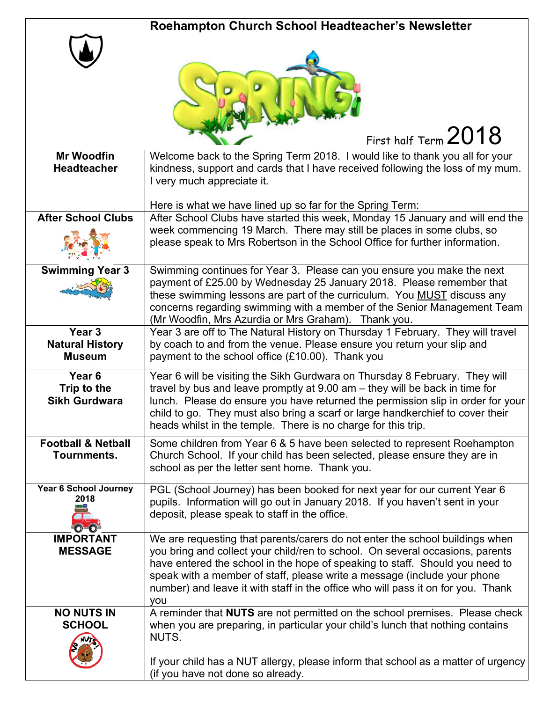|                                                          | Roehampton Church School Headteacher's Newsletter                                                                                                                                                                                                                                                                                                                                                                    |
|----------------------------------------------------------|----------------------------------------------------------------------------------------------------------------------------------------------------------------------------------------------------------------------------------------------------------------------------------------------------------------------------------------------------------------------------------------------------------------------|
|                                                          | First half Term $2018$                                                                                                                                                                                                                                                                                                                                                                                               |
| <b>Mr Woodfin</b><br><b>Headteacher</b>                  | Welcome back to the Spring Term 2018. I would like to thank you all for your<br>kindness, support and cards that I have received following the loss of my mum.<br>I very much appreciate it.                                                                                                                                                                                                                         |
| <b>After School Clubs</b>                                | Here is what we have lined up so far for the Spring Term:<br>After School Clubs have started this week, Monday 15 January and will end the<br>week commencing 19 March. There may still be places in some clubs, so<br>please speak to Mrs Robertson in the School Office for further information.                                                                                                                   |
| <b>Swimming Year 3</b>                                   | Swimming continues for Year 3. Please can you ensure you make the next<br>payment of £25.00 by Wednesday 25 January 2018. Please remember that<br>these swimming lessons are part of the curriculum. You MUST discuss any<br>concerns regarding swimming with a member of the Senior Management Team<br>(Mr Woodfin, Mrs Azurdia or Mrs Graham). Thank you.                                                          |
| Year 3<br><b>Natural History</b><br><b>Museum</b>        | Year 3 are off to The Natural History on Thursday 1 February. They will travel<br>by coach to and from the venue. Please ensure you return your slip and<br>payment to the school office (£10.00). Thank you                                                                                                                                                                                                         |
| Year <sub>6</sub><br>Trip to the<br><b>Sikh Gurdwara</b> | Year 6 will be visiting the Sikh Gurdwara on Thursday 8 February. They will<br>travel by bus and leave promptly at 9.00 am – they will be back in time for<br>lunch. Please do ensure you have returned the permission slip in order for your<br>child to go. They must also bring a scarf or large handkerchief to cover their<br>heads whilst in the temple. There is no charge for this trip.                     |
| <b>Football &amp; Netball</b><br>Tournments.             | Some children from Year 6 & 5 have been selected to represent Roehampton<br>Church School. If your child has been selected, please ensure they are in<br>school as per the letter sent home. Thank you.                                                                                                                                                                                                              |
| Year 6 School Journey<br>2018                            | PGL (School Journey) has been booked for next year for our current Year 6<br>pupils. Information will go out in January 2018. If you haven't sent in your<br>deposit, please speak to staff in the office.                                                                                                                                                                                                           |
| <b>IMPORTANT</b><br><b>MESSAGE</b>                       | We are requesting that parents/carers do not enter the school buildings when<br>you bring and collect your child/ren to school. On several occasions, parents<br>have entered the school in the hope of speaking to staff. Should you need to<br>speak with a member of staff, please write a message (include your phone<br>number) and leave it with staff in the office who will pass it on for you. Thank<br>you |
| <b>NO NUTS IN</b><br><b>SCHOOL</b>                       | A reminder that NUTS are not permitted on the school premises. Please check<br>when you are preparing, in particular your child's lunch that nothing contains<br>NUTS.<br>If your child has a NUT allergy, please inform that school as a matter of urgency<br>(if you have not done so already.                                                                                                                     |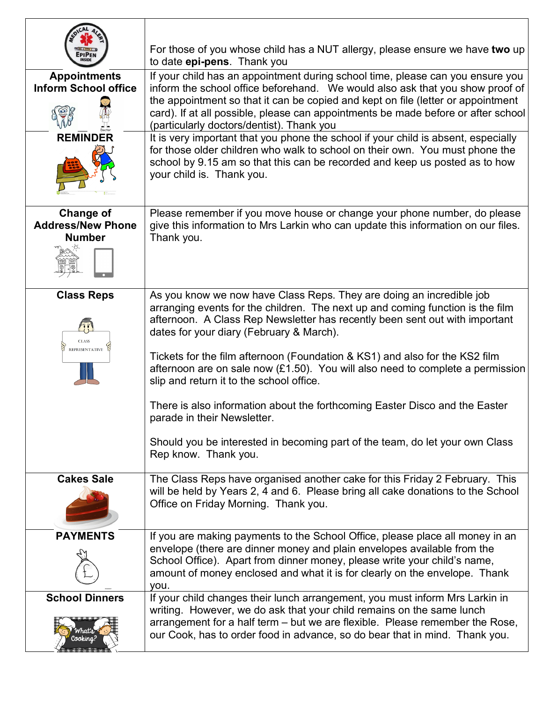|                                                               | For those of you whose child has a NUT allergy, please ensure we have two up<br>to date epi-pens. Thank you                                                                                                                                                                                                                              |
|---------------------------------------------------------------|------------------------------------------------------------------------------------------------------------------------------------------------------------------------------------------------------------------------------------------------------------------------------------------------------------------------------------------|
| <b>Appointments</b><br><b>Inform School office</b>            | If your child has an appointment during school time, please can you ensure you<br>inform the school office beforehand. We would also ask that you show proof of<br>the appointment so that it can be copied and kept on file (letter or appointment<br>card). If at all possible, please can appointments be made before or after school |
|                                                               | (particularly doctors/dentist). Thank you                                                                                                                                                                                                                                                                                                |
| <b>REMINDER</b>                                               | It is very important that you phone the school if your child is absent, especially<br>for those older children who walk to school on their own. You must phone the<br>school by 9.15 am so that this can be recorded and keep us posted as to how<br>your child is. Thank you.                                                           |
| <b>Change of</b><br><b>Address/New Phone</b><br><b>Number</b> | Please remember if you move house or change your phone number, do please<br>give this information to Mrs Larkin who can update this information on our files.<br>Thank you.                                                                                                                                                              |
| <b>Class Reps</b><br><b>CLASS</b><br><b>REPRESENTATIVE</b>    | As you know we now have Class Reps. They are doing an incredible job<br>arranging events for the children. The next up and coming function is the film<br>afternoon. A Class Rep Newsletter has recently been sent out with important<br>dates for your diary (February & March).                                                        |
|                                                               | Tickets for the film afternoon (Foundation & KS1) and also for the KS2 film<br>afternoon are on sale now $(E1.50)$ . You will also need to complete a permission<br>slip and return it to the school office.                                                                                                                             |
|                                                               | There is also information about the forthcoming Easter Disco and the Easter<br>parade in their Newsletter.                                                                                                                                                                                                                               |
|                                                               | Should you be interested in becoming part of the team, do let your own Class<br>Rep know. Thank you.                                                                                                                                                                                                                                     |
| <b>Cakes Sale</b>                                             | The Class Reps have organised another cake for this Friday 2 February. This<br>will be held by Years 2, 4 and 6. Please bring all cake donations to the School<br>Office on Friday Morning. Thank you.                                                                                                                                   |
| <b>PAYMENTS</b>                                               | If you are making payments to the School Office, please place all money in an<br>envelope (there are dinner money and plain envelopes available from the<br>School Office). Apart from dinner money, please write your child's name,<br>amount of money enclosed and what it is for clearly on the envelope. Thank<br>you.               |
| <b>School Dinners</b>                                         | If your child changes their lunch arrangement, you must inform Mrs Larkin in<br>writing. However, we do ask that your child remains on the same lunch                                                                                                                                                                                    |
| (hats                                                         | arrangement for a half term – but we are flexible. Please remember the Rose,<br>our Cook, has to order food in advance, so do bear that in mind. Thank you.                                                                                                                                                                              |